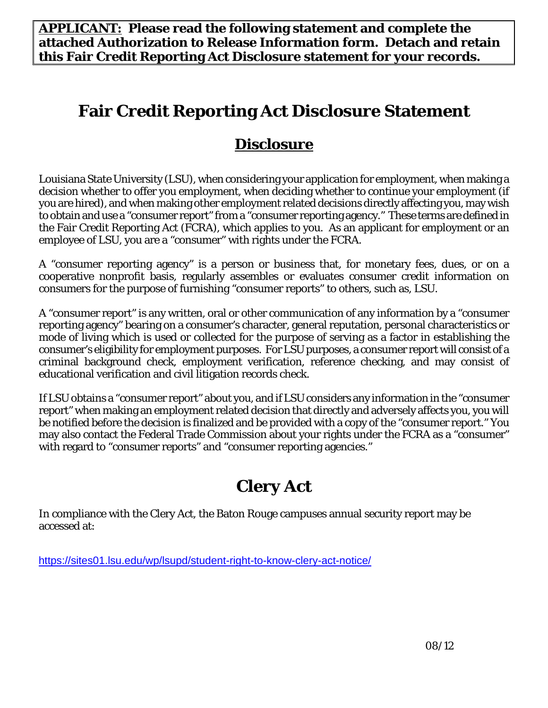**APPLICANT: Please read the following statement and complete the attached Authorization to Release Information form. Detach and retain this Fair Credit Reporting Act Disclosure statement for your records.**

## **Fair Credit Reporting Act Disclosure Statement**

## **Disclosure**

Louisiana State University (LSU), when considering your application for employment, when making a decision whether to offer you employment, when deciding whether to continue your employment (if you are hired), and when making other employment related decisions directly affecting you, may wish to obtain and use a "consumer report" from a "consumer reporting agency." These terms are defined in the Fair Credit Reporting Act (FCRA), which applies to you. As an applicant for employment or an employee of LSU, you are a "consumer" with rights under the FCRA.

A "consumer reporting agency" is a person or business that, for monetary fees, dues, or on a cooperative nonprofit basis, regularly assembles or evaluates consumer credit information on consumers for the purpose of furnishing "consumer reports" to others, such as, LSU.

A "consumer report" is any written, oral or other communication of any information by a "consumer reporting agency" bearing on a consumer's character, general reputation, personal characteristics or mode of living which is used or collected for the purpose of serving as a factor in establishing the consumer's eligibility for employment purposes. For LSU purposes, a consumer report will consist of a criminal background check, employment verification, reference checking, and may consist of educational verification and civil litigation records check.

If LSU obtains a "consumer report" about you, and if LSU considers any information in the "consumer report" when making an employment related decision that directly and adversely affects you, you will be notified before the decision is finalized and be provided with a copy of the "consumer report." You may also contact the Federal Trade Commission about your rights under the FCRA as a "consumer" with regard to "consumer reports" and "consumer reporting agencies."

# **Clery Act**

In compliance with the Clery Act, the Baton Rouge campuses annual security report may be accessed at:

https://sites01.lsu.edu/wp/lsupd/student-right-to-know-clery-act-notice/